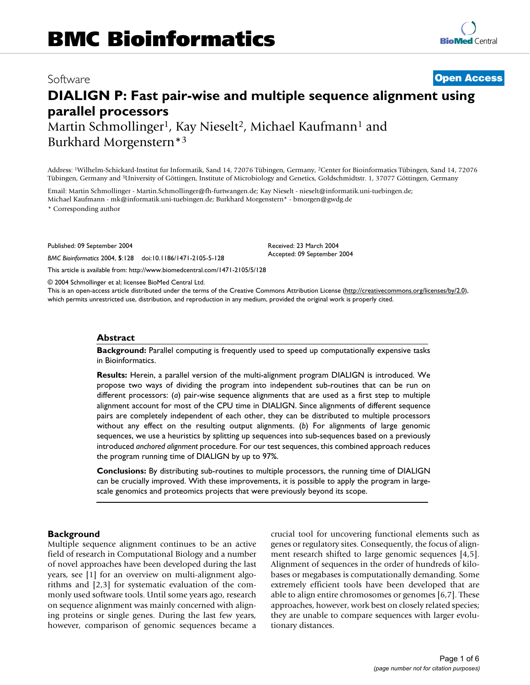# **DIALIGN P: Fast pair-wise and multiple sequence alignment using parallel processors**

Martin Schmollinger<sup>1</sup>, Kay Nieselt<sup>2</sup>, Michael Kaufmann<sup>1</sup> and Burkhard Morgenstern\*3

Address: 1Wilhelm-Schickard-Institut fur Informatik, Sand 14, 72076 Tübingen, Germany, 2Center for Bioinformatics Tübingen, Sand 14, 72076 Tübingen, Germany and 3University of Göttingen, Institute of Microbiology and Genetics, Goldschmidtstr. 1, 37077 Göttingen, Germany

Email: Martin Schmollinger - Martin.Schmollinger@fh-furtwangen.de; Kay Nieselt - nieselt@informatik.uni-tuebingen.de; Michael Kaufmann - mk@informatik.uni-tuebingen.de; Burkhard Morgenstern\* - bmorgen@gwdg.de

\* Corresponding author

Published: 09 September 2004

*BMC Bioinformatics* 2004, **5**:128 doi:10.1186/1471-2105-5-128

Received: 23 March 2004 Accepted: 09 September 2004

© 2004 Schmollinger et al; licensee BioMed Central Ltd.

[This article is available from: http://www.biomedcentral.com/1471-2105/5/128](http://www.biomedcentral.com/1471-2105/5/128)

This is an open-access article distributed under the terms of the Creative Commons Attribution License (<http://creativecommons.org/licenses/by/2.0>), which permits unrestricted use, distribution, and reproduction in any medium, provided the original work is properly cited.

#### **Abstract**

**Background:** Parallel computing is frequently used to speed up computationally expensive tasks in Bioinformatics.

**Results:** Herein, a parallel version of the multi-alignment program DIALIGN is introduced. We propose two ways of dividing the program into independent sub-routines that can be run on different processors: (*a*) pair-wise sequence alignments that are used as a first step to multiple alignment account for most of the CPU time in DIALIGN. Since alignments of different sequence pairs are completely independent of each other, they can be distributed to multiple processors without any effect on the resulting output alignments. (*b*) For alignments of large genomic sequences, we use a heuristics by splitting up sequences into sub-sequences based on a previously introduced *anchored alignment* procedure. For our test sequences, this combined approach reduces the program running time of DIALIGN by up to 97%.

**Conclusions:** By distributing sub-routines to multiple processors, the running time of DIALIGN can be crucially improved. With these improvements, it is possible to apply the program in largescale genomics and proteomics projects that were previously beyond its scope.

#### **Background**

Multiple sequence alignment continues to be an active field of research in Computational Biology and a number of novel approaches have been developed during the last years, see [1] for an overview on multi-alignment algorithms and [2,3] for systematic evaluation of the commonly used software tools. Until some years ago, research on sequence alignment was mainly concerned with aligning proteins or single genes. During the last few years, however, comparison of genomic sequences became a crucial tool for uncovering functional elements such as genes or regulatory sites. Consequently, the focus of alignment research shifted to large genomic sequences [4,5]. Alignment of sequences in the order of hundreds of kilobases or megabases is computationally demanding. Some extremely efficient tools have been developed that are able to align entire chromosomes or genomes [6,7]. These approaches, however, work best on closely related species; they are unable to compare sequences with larger evolutionary distances.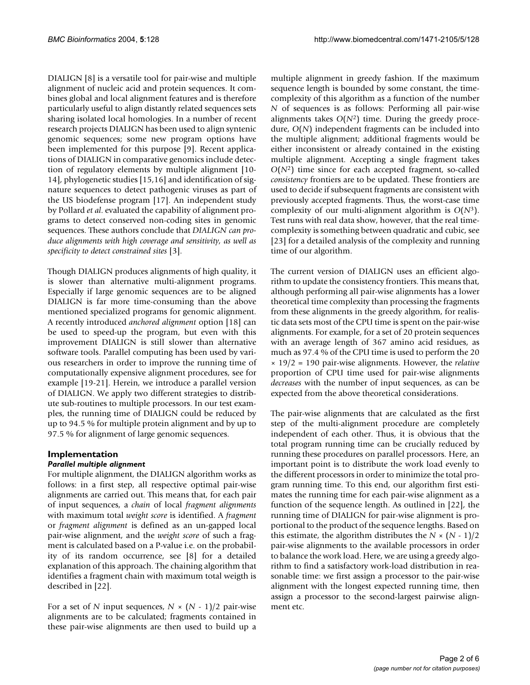DIALIGN [8] is a versatile tool for pair-wise and multiple alignment of nucleic acid and protein sequences. It combines global and local alignment features and is therefore particularly useful to align distantly related sequences sets sharing isolated local homologies. In a number of recent research projects DIALIGN has been used to align syntenic genomic sequences; some new program options have been implemented for this purpose [9]. Recent applications of DIALIGN in comparative genomics include detection of regulatory elements by multiple alignment [10- 14], phylogenetic studies [15,16] and identification of signature sequences to detect pathogenic viruses as part of the US biodefense program [17]. An independent study by Pollard *et al*. evaluated the capability of alignment programs to detect conserved non-coding sites in genomic sequences. These authors conclude that *DIALIGN can produce alignments with high coverage and sensitivity, as well as specificity to detect constrained sites* [3].

Though DIALIGN produces alignments of high quality, it is slower than alternative multi-alignment programs. Especially if large genomic sequences are to be aligned DIALIGN is far more time-consuming than the above mentioned specialized programs for genomic alignment. A recently introduced *anchored alignment* option [18] can be used to speed-up the program, but even with this improvement DIALIGN is still slower than alternative software tools. Parallel computing has been used by various researchers in order to improve the running time of computationally expensive alignment procedures, see for example [19-21]. Herein, we introduce a parallel version of DIALIGN. We apply two different strategies to distribute sub-routines to multiple processors. In our test examples, the running time of DIALIGN could be reduced by up to 94.5 % for multiple protein alignment and by up to 97.5 % for alignment of large genomic sequences.

#### **Implementation** *Parallel multiple alignment*

For multiple alignment, the DIALIGN algorithm works as follows: in a first step, all respective optimal pair-wise alignments are carried out. This means that, for each pair of input sequences, a *chain* of local *fragment alignments* with maximum total *weight score* is identified. A *fragment* or *fragment alignment* is defined as an un-gapped local pair-wise alignment, and the *weight score* of such a fragment is calculated based on a P-value i.e. on the probability of its random occurrence, see [8] for a detailed explanation of this approach. The chaining algorithm that identifies a fragment chain with maximum total weigth is described in [22].

For a set of *N* input sequences,  $N \times (N - 1)/2$  pair-wise alignments are to be calculated; fragments contained in these pair-wise alignments are then used to build up a

multiple alignment in greedy fashion. If the maximum sequence length is bounded by some constant, the timecomplexity of this algorithm as a function of the number *N* of sequences is as follows: Performing all pair-wise alignments takes  $O(N^2)$  time. During the greedy procedure, *O*(*N*) independent fragments can be included into the multiple alignment; additional fragments would be either inconsistent or already contained in the existing multiple alignment. Accepting a single fragment takes *O*(*N*2) time since for each accepted fragment, so-called *consistency* frontiers are to be updated. These frontiers are used to decide if subsequent fragments are consistent with previously accepted fragments. Thus, the worst-case time complexity of our multi-alignment algorithm is *O*(*N*3). Test runs with real data show, however, that the real timecomplexity is something between quadratic and cubic, see [23] for a detailed analysis of the complexity and running time of our algorithm.

The current version of DIALIGN uses an efficient algorithm to update the consistency frontiers. This means that, although performing all pair-wise alignments has a lower theoretical time complexity than processing the fragments from these alignments in the greedy algorithm, for realistic data sets most of the CPU time is spent on the pair-wise alignments. For example, for a set of 20 protein sequences with an average length of 367 amino acid residues, as much as 97.4 % of the CPU time is used to perform the 20 × 19/2 = 190 pair-wise alignments. However, the *relative* proportion of CPU time used for pair-wise alignments *decreases* with the number of input sequences, as can be expected from the above theoretical considerations.

The pair-wise alignments that are calculated as the first step of the multi-alignment procedure are completely independent of each other. Thus, it is obvious that the total program running time can be crucially reduced by running these procedures on parallel processors. Here, an important point is to distribute the work load evenly to the different processors in order to minimize the total program running time. To this end, our algorithm first estimates the running time for each pair-wise alignment as a function of the sequence length. As outlined in [22], the running time of DIALIGN for pair-wise alignment is proportional to the product of the sequence lengths. Based on this estimate, the algorithm distributes the  $N \times (N-1)/2$ pair-wise alignments to the available processors in order to balance the work load. Here, we are using a greedy algorithm to find a satisfactory work-load distribution in reasonable time: we first assign a processor to the pair-wise alignment with the longest expected running time, then assign a processor to the second-largest pairwise alignment etc.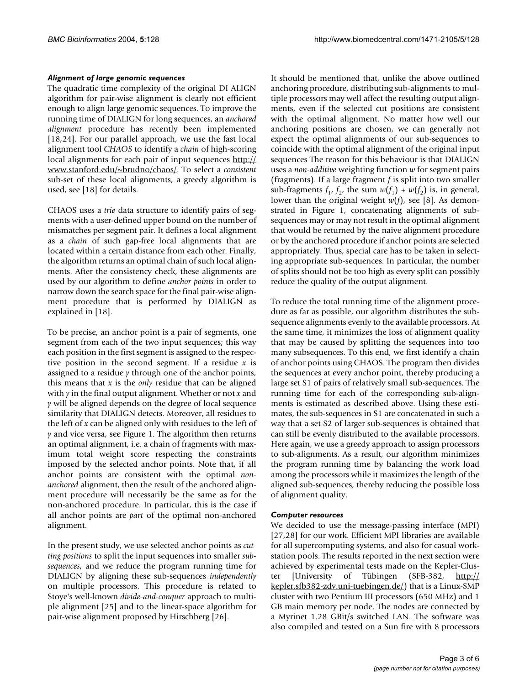#### *Alignment of large genomic sequences*

The quadratic time complexity of the original DI ALIGN algorithm for pair-wise alignment is clearly not efficient enough to align large genomic sequences. To improve the running time of DIALIGN for long sequences, an *anchored alignment* procedure has recently been implemented [18,24]. For our parallel approach, we use the fast local alignment tool *CHAOS* to identify a *chain* of high-scoring local alignments for each pair of input sequences [http://](http://www.stanford.edu/~brudno/chaos/) [www.stanford.edu/~brudno/chaos/](http://www.stanford.edu/~brudno/chaos/). To select a *consistent* sub-set of these local alignments, a greedy algorithm is used, see [18] for details.

CHAOS uses a *trie* data structure to identify pairs of segments with a user-defined upper bound on the number of mismatches per segment pair. It defines a local alignment as a *chain* of such gap-free local alignments that are located within a certain distance from each other. Finally, the algorithm returns an optimal chain of such local alignments. After the consistency check, these alignments are used by our algorithm to define *anchor points* in order to narrow down the search space for the final pair-wise alignment procedure that is performed by DIALIGN as explained in [18].

To be precise, an anchor point is a pair of segments, one segment from each of the two input sequences; this way each position in the first segment is assigned to the respective position in the second segment. If a residue *x* is assigned to a residue *y* through one of the anchor points, this means that *x* is the *only* residue that can be aligned with *y* in the final output alignment. Whether or not *x* and *y* will be aligned depends on the degree of local sequence similarity that DIALIGN detects. Moreover, all residues to the left of *x* can be aligned only with residues to the left of *y* and vice versa, see Figure [1](#page-3-0). The algorithm then returns an optimal alignment, i.e. a chain of fragments with maximum total weight score respecting the constraints imposed by the selected anchor points. Note that, if all anchor points are consistent with the optimal *nonanchored* alignment, then the result of the anchored alignment procedure will necessarily be the same as for the non-anchored procedure. In particular, this is the case if all anchor points are *part* of the optimal non-anchored alignment.

In the present study, we use selected anchor points as *cutting positions* to split the input sequences into smaller *subsequences*, and we reduce the program running time for DIALIGN by aligning these sub-sequences *independently* on multiple processors. This procedure is related to Stoye's well-known *divide-and-conquer* approach to multiple alignment [25] and to the linear-space algorithm for pair-wise alignment proposed by Hirschberg [26].

It should be mentioned that, unlike the above outlined anchoring procedure, distributing sub-alignments to multiple processors may well affect the resulting output alignments, even if the selected cut positions are consistent with the optimal alignment. No matter how well our anchoring positions are chosen, we can generally not expect the optimal alignments of our sub-sequences to coincide with the optimal alignment of the original input sequences The reason for this behaviour is that DIALIGN uses a *non-additive* weighting function *w* for segment pairs (fragments). If a large fragment *f* is split into two smaller sub-fragments  $f_1$ ,  $f_2$ , the sum  $w(f_1) + w(f_2)$  is, in general, lower than the original weight *w*(*f*), see [8]. As demonstrated in Figure [1,](#page-3-0) concatenating alignments of subsequences may or may not result in the optimal alignment that would be returned by the naive alignment procedure or by the anchored procedure if anchor points are selected appropriately. Thus, special care has to be taken in selecting appropriate sub-sequences. In particular, the number of splits should not be too high as every split can possibly reduce the quality of the output alignment.

To reduce the total running time of the alignment procedure as far as possible, our algorithm distributes the subsequence alignments evenly to the available processors. At the same time, it minimizes the loss of alignment quality that may be caused by splitting the sequences into too many subsequences. To this end, we first identify a chain of anchor points using CHAOS. The program then divides the sequences at every anchor point, thereby producing a large set S1 of pairs of relatively small sub-sequences. The running time for each of the corresponding sub-alignments is estimated as described above. Using these estimates, the sub-sequences in S1 are concatenated in such a way that a set S2 of larger sub-sequences is obtained that can still be evenly distributed to the available processors. Here again, we use a greedy approach to assign processors to sub-alignments. As a result, our algorithm minimizes the program running time by balancing the work load among the processors while it maximizes the length of the aligned sub-sequences, thereby reducing the possible loss of alignment quality.

## *Computer resources*

We decided to use the message-passing interface (MPI) [27,28] for our work. Efficient MPI libraries are available for all supercomputing systems, and also for casual workstation pools. The results reported in the next section were achieved by experimental tests made on the Kepler-Cluster [University of Tübingen (SFB-382, [http://](http://kepler.sfb382-zdv.uni-tuebingen.de/) [kepler.sfb382-zdv.uni-tuebingen.de/\)](http://kepler.sfb382-zdv.uni-tuebingen.de/) that is a Linux-SMP cluster with two Pentium III processors (650 MHz) and 1 GB main memory per node. The nodes are connected by a Myrinet 1.28 GBit/s switched LAN. The software was also compiled and tested on a Sun fire with 8 processors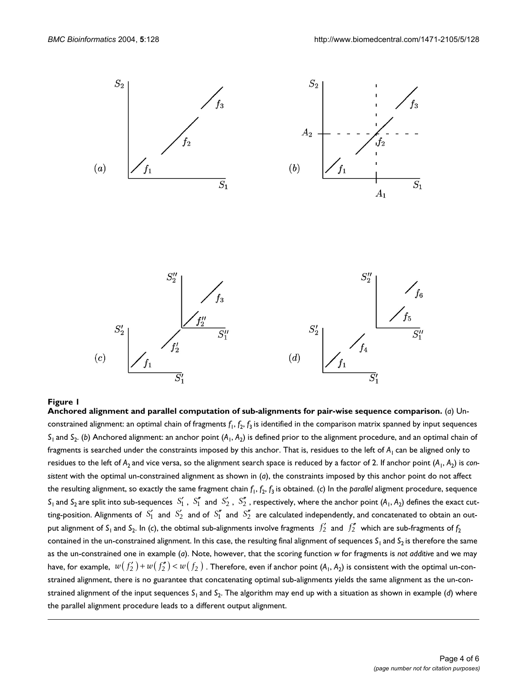<span id="page-3-0"></span>

## Anchored alignment and parallel computation of **Figure 1** sub-alignments for pair-wise sequence comparison

**Anchored alignment and parallel computation of sub-alignments for pair-wise sequence comparison.** (*a*) Unconstrained alignment: an optimal chain of fragments *f*1, *f*2, *f*3 is identified in the comparison matrix spanned by input sequences *S*<sub>1</sub> and *S*<sub>2</sub>. (*b*) Anchored alignment: an anchor point ( $A_1$ ,  $A_2$ ) is defined prior to the alignment procedure, and an optimal chain of fragments is searched under the constraints imposed by this anchor. That is, residues to the left of  $A_1$  can be aligned only to residues to the left of A<sub>2</sub> and vice versa, so the alignment search space is reduced by a factor of 2. If anchor point (A<sub>1</sub>, A<sub>2</sub>) is con*sistent* with the optimal un-constrained alignment as shown in (*a*), the constraints imposed by this anchor point do not affect the resulting alignment, so exactly the same fragment chain *f*1, *f*2, *f*3 is obtained. (*c*) In the *parallel* aligment procedure, sequence  $S_1$  and  $S_2$  are split into sub-sequences  $\ S_1'$  ,  $\ S_1''$  and  $\ S_2'$  ,  $\ S_2''$  , respectively, where the anchor point (A<sub>1</sub>, A<sub>2</sub>) defines the exact cutting-position. Alignments of  $\ S_1'$  and  $\ S_2'$  and of  $\ S_1''$  and  $\ S_2''$  are calculated independently, and concatenated to obtain an output alignment of S<sub>1</sub> and S<sub>2</sub>. In (c), the obtimal sub-alignments involve fragments  $f_2'$  and  $f_2''$  which are sub-fragments of  $f_2$ contained in the un-constrained alignment. In this case, the resulting final alignment of sequences S<sub>1</sub> and S<sub>2</sub> is therefore the same as the un-constrained one in example (*a*). Note, however, that the scoring function *w* for fragments is *not additive* and we may have, for example,  $\;w(\,f'_2\,)+w(\,f''_2)\!<\!w(\,f_2\,)\;.$  Therefore, even if anchor point (A<sub>1</sub>, A<sub>2</sub>) is consistent with the optimal un-constrained alignment, there is no guarantee that concatenating optimal sub-alignments yields the same alignment as the un-constrained alignment of the input sequences  $S_1$  and  $S_2$ . The algorithm may end up with a situation as shown in example (*d*) where the parallel alignment procedure leads to a different output alignment.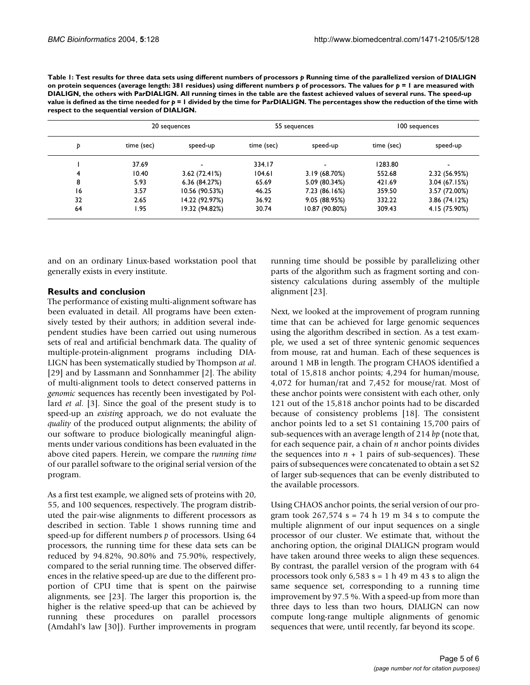| Þ  | 20 sequences |                | 55 sequences |                | 100 sequences |               |
|----|--------------|----------------|--------------|----------------|---------------|---------------|
|    | time (sec)   | speed-up       | time (sec)   | speed-up       | time (sec)    | speed-up      |
|    | 37.69        |                | 334.17       |                | 1283.80       |               |
|    | 10.40        | 3.62(72.41%)   | 104.61       | 3.19 (68.70%)  | 552.68        | 2.32 (56.95%) |
| 8  | 5.93         | 6.36(84.27%)   | 65.69        | 5.09 (80.34%)  | 421.69        | 3.04(67.15%)  |
| 16 | 3.57         | 10.56 (90.53%) | 46.25        | 7.23 (86.16%)  | 359.50        | 3.57 (72.00%) |
| 32 | 2.65         | 14.22 (92.97%) | 36.92        | 9.05 (88.95%)  | 332.22        | 3.86 (74.12%) |
| 64 | 1.95         | 19.32 (94.82%) | 30.74        | 10.87 (90.80%) | 309.43        | 4.15 (75.90%) |

<span id="page-4-0"></span>Table 1: Test results for three data sets using different numbers of processors  $p$  Running time of the parallelized version of DIALIGN **on protein sequences (average length: 381 residues) using different numbers** *p* **of processors. The values for** *p* **= 1 are measured with DIALIGN, the others with ParDIALIGN. All running times in the table are the fastest achieved values of several runs. The speed-up value is defined as the time needed for** *p* **= 1 divided by the time for ParDIALIGN. The percentages show the reduction of the time with respect to the sequential version of DIALIGN.**

and on an ordinary Linux-based workstation pool that generally exists in every institute.

# **Results and conclusion**

The performance of existing multi-alignment software has been evaluated in detail. All programs have been extensively tested by their authors; in addition several independent studies have been carried out using numerous sets of real and artificial benchmark data. The quality of multiple-protein-alignment programs including DIA-LIGN has been systematically studied by Thompson *at al*. [29] and by Lassmann and Sonnhammer [2]. The ability of multi-alignment tools to detect conserved patterns in *genomic* sequences has recently been investigated by Pollard *et al*. [3]. Since the goal of the present study is to speed-up an *existing* approach, we do not evaluate the *quality* of the produced output alignments; the ability of our software to produce biologically meaningful alignments under various conditions has been evaluated in the above cited papers. Herein, we compare the *running time* of our parallel software to the original serial version of the program.

As a first test example, we aligned sets of proteins with 20, 55, and 100 sequences, respectively. The program distributed the pair-wise alignments to different processors as described in section. Table [1](#page-4-0) shows running time and speed-up for different numbers *p* of processors. Using 64 processors, the running time for these data sets can be reduced by 94.82%, 90.80% and 75.90%, respectively, compared to the serial running time. The observed differences in the relative speed-up are due to the different proportion of CPU time that is spent on the pairwise alignments, see [23]. The larger this proportion is, the higher is the relative speed-up that can be achieved by running these procedures on parallel processors (Amdahl's law [30]). Further improvements in program

running time should be possible by parallelizing other parts of the algorithm such as fragment sorting and consistency calculations during assembly of the multiple alignment [23].

Next, we looked at the improvement of program running time that can be achieved for large genomic sequences using the algorithm described in section. As a test example, we used a set of three syntenic genomic sequences from mouse, rat and human. Each of these sequences is around 1 MB in length. The program CHAOS identified a total of 15,818 anchor points; 4,294 for human/mouse, 4,072 for human/rat and 7,452 for mouse/rat. Most of these anchor points were consistent with each other, only 121 out of the 15,818 anchor points had to be discarded because of consistency problems [18]. The consistent anchor points led to a set S1 containing 15,700 pairs of sub-sequences with an average length of 214 *bp* (note that, for each sequence pair, a chain of *n* anchor points divides the sequences into  $n + 1$  pairs of sub-sequences). These pairs of subsequences were concatenated to obtain a set S2 of larger sub-sequences that can be evenly distributed to the available processors.

Using CHAOS anchor points, the serial version of our program took  $267,574$  s = 74 h 19 m 34 s to compute the multiple alignment of our input sequences on a single processor of our cluster. We estimate that, without the anchoring option, the original DIALIGN program would have taken around three weeks to align these sequences. By contrast, the parallel version of the program with 64 processors took only  $6,583$  s = 1 h 49 m 43 s to align the same sequence set, corresponding to a running time improvement by 97.5 %. With a speed-up from more than three days to less than two hours, DIALIGN can now compute long-range multiple alignments of genomic sequences that were, until recently, far beyond its scope.